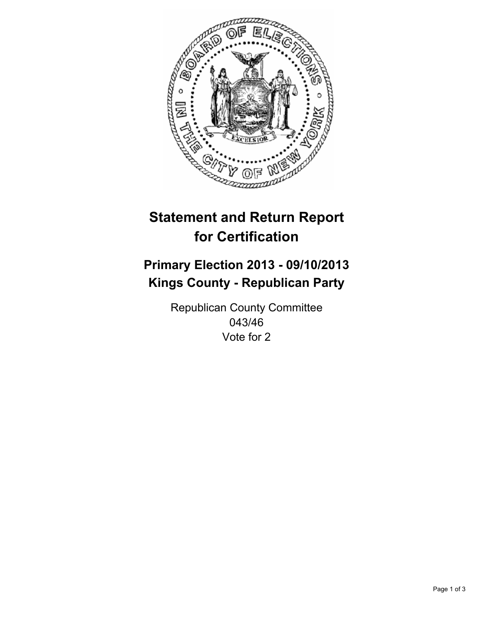

# **Statement and Return Report for Certification**

## **Primary Election 2013 - 09/10/2013 Kings County - Republican Party**

Republican County Committee 043/46 Vote for 2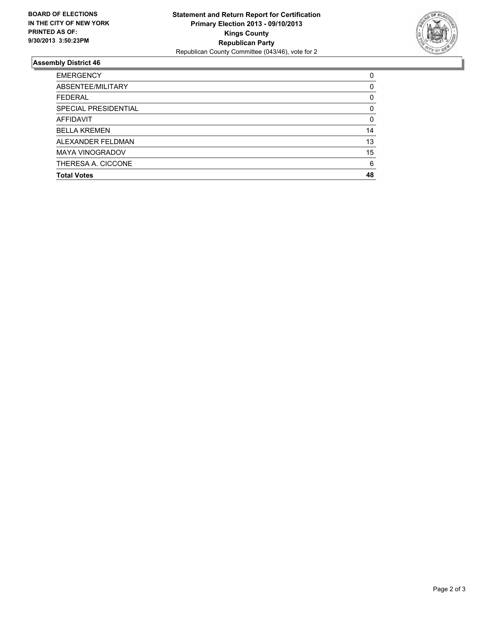

### **Assembly District 46**

| 0        |
|----------|
| $\Omega$ |
| 0        |
| $\Omega$ |
| 0        |
| 14       |
| 13       |
| 15       |
| 6        |
| 48       |
|          |